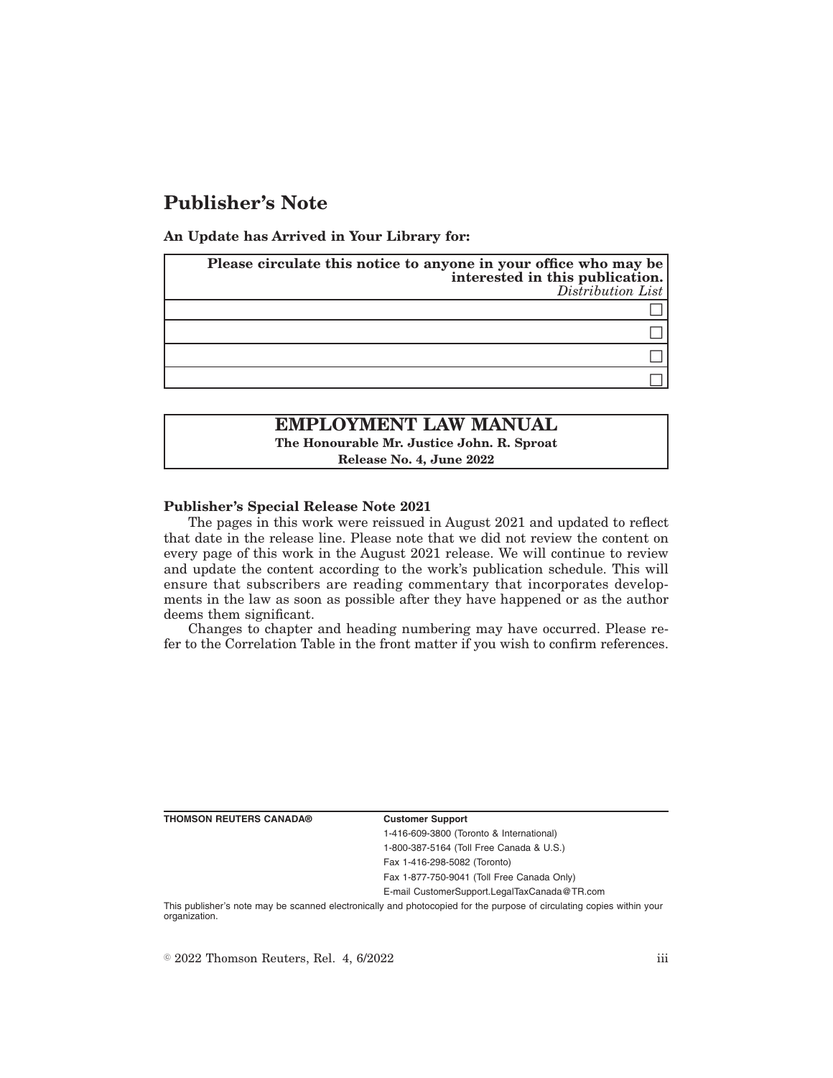## **Publisher's Note**

**An Update has Arrived in Your Library for:**

| Please circulate this notice to anyone in your office who may be<br>interested in this publication.<br>Distribution List |
|--------------------------------------------------------------------------------------------------------------------------|
|                                                                                                                          |
|                                                                                                                          |
|                                                                                                                          |
|                                                                                                                          |

# **EMPLOYMENT LAW MANUAL**

**The Honourable Mr. Justice John. R. Sproat**

**Release No. 4, June 2022**

### **Publisher's Special Release Note 2021**

The pages in this work were reissued in August 2021 and updated to reflect that date in the release line. Please note that we did not review the content on every page of this work in the August 2021 release. We will continue to review and update the content according to the work's publication schedule. This will ensure that subscribers are reading commentary that incorporates developments in the law as soon as possible after they have happened or as the author deems them significant.

Changes to chapter and heading numbering may have occurred. Please refer to the Correlation Table in the front matter if you wish to confirm references.

**THOMSON REUTERS CANADA® Customer Support**

1-416-609-3800 (Toronto & International) 1-800-387-5164 (Toll Free Canada & U.S.)

Fax 1-416-298-5082 (Toronto)

Fax 1-877-750-9041 (Toll Free Canada Only)

E-mail CustomerSupport.LegalTaxCanada@TR.com

This publisher's note may be scanned electronically and photocopied for the purpose of circulating copies within your organization.

 $\degree$  2022 Thomson Reuters, Rel. 4, 6/2022 iii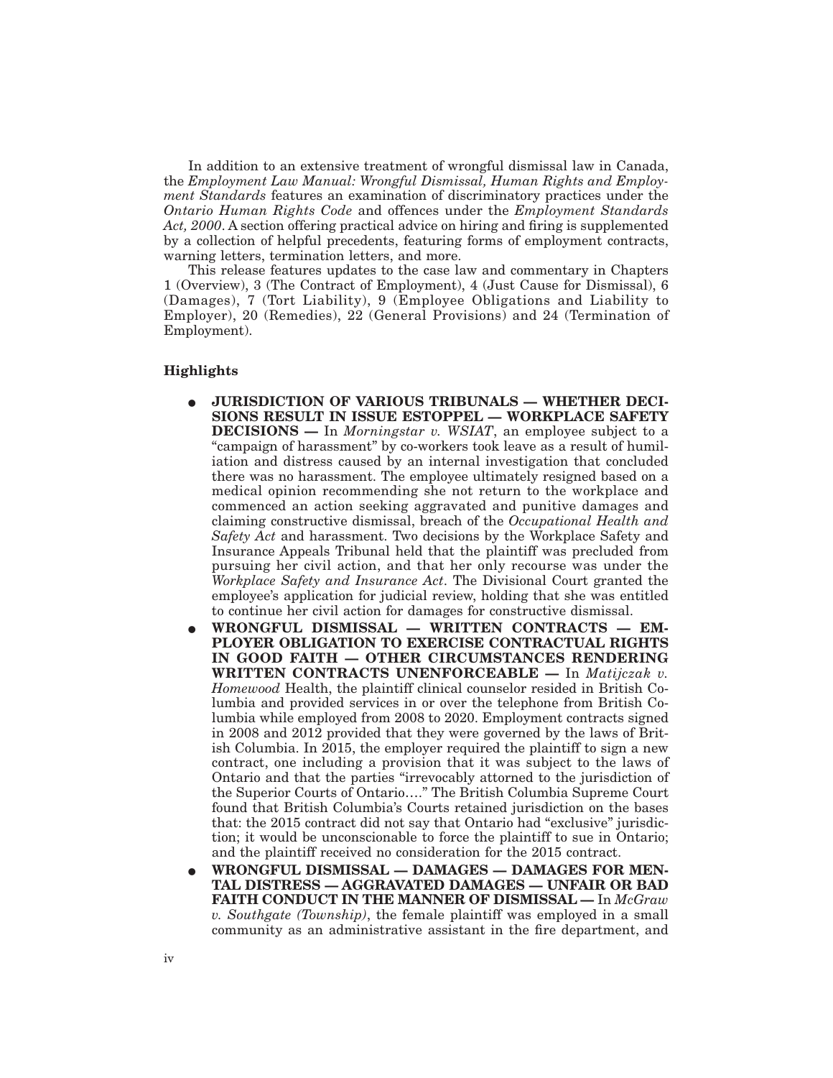In addition to an extensive treatment of wrongful dismissal law in Canada, the *Employment Law Manual: Wrongful Dismissal, Human Rights and Employment Standards* features an examination of discriminatory practices under the *Ontario Human Rights Code* and offences under the *Employment Standards Act, 2000*. A section offering practical advice on hiring and firing is supplemented by a collection of helpful precedents, featuring forms of employment contracts, warning letters, termination letters, and more.

This release features updates to the case law and commentary in Chapters 1 (Overview), 3 (The Contract of Employment), 4 (Just Cause for Dismissal), 6 (Damages), 7 (Tort Liability), 9 (Employee Obligations and Liability to Employer), 20 (Remedies), 22 (General Provisions) and 24 (Termination of Employment).

### **Highlights**

- E **JURISDICTION OF VARIOUS TRIBUNALS WHETHER DECI-SIONS RESULT IN ISSUE ESTOPPEL — WORKPLACE SAFETY DECISIONS —** In *Morningstar v. WSIAT*, an employee subject to a "campaign of harassment" by co-workers took leave as a result of humiliation and distress caused by an internal investigation that concluded there was no harassment. The employee ultimately resigned based on a medical opinion recommending she not return to the workplace and commenced an action seeking aggravated and punitive damages and claiming constructive dismissal, breach of the *Occupational Health and Safety Act* and harassment. Two decisions by the Workplace Safety and Insurance Appeals Tribunal held that the plaintiff was precluded from pursuing her civil action, and that her only recourse was under the *Workplace Safety and Insurance Act*. The Divisional Court granted the employee's application for judicial review, holding that she was entitled to continue her civil action for damages for constructive dismissal.
- E **WRONGFUL DISMISSAL WRITTEN CONTRACTS EM-PLOYER OBLIGATION TO EXERCISE CONTRACTUAL RIGHTS IN GOOD FAITH — OTHER CIRCUMSTANCES RENDERING WRITTEN CONTRACTS UNENFORCEABLE —** In *Matijczak v. Homewood* Health, the plaintiff clinical counselor resided in British Columbia and provided services in or over the telephone from British Columbia while employed from 2008 to 2020. Employment contracts signed in 2008 and 2012 provided that they were governed by the laws of British Columbia. In 2015, the employer required the plaintiff to sign a new contract, one including a provision that it was subject to the laws of Ontario and that the parties "irrevocably attorned to the jurisdiction of the Superior Courts of Ontario…." The British Columbia Supreme Court found that British Columbia's Courts retained jurisdiction on the bases that: the 2015 contract did not say that Ontario had "exclusive" jurisdiction; it would be unconscionable to force the plaintiff to sue in Ontario; and the plaintiff received no consideration for the 2015 contract.
- E **WRONGFUL DISMISSAL DAMAGES DAMAGES FOR MEN-TAL DISTRESS — AGGRAVATED DAMAGES — UNFAIR OR BAD FAITH CONDUCT IN THE MANNER OF DISMISSAL —** In *McGraw v. Southgate (Township)*, the female plaintiff was employed in a small community as an administrative assistant in the fire department, and